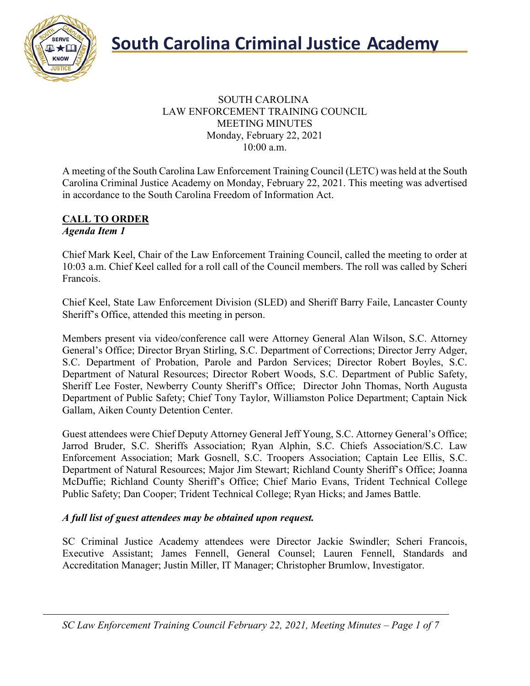

### SOUTH CAROLINA LAW ENFORCEMENT TRAINING COUNCIL MEETING MINUTES Monday, February 22, 2021 10:00 a.m.

A meeting of the South Carolina Law Enforcement Training Council (LETC) was held at the South Carolina Criminal Justice Academy on Monday, February 22, 2021. This meeting was advertised in accordance to the South Carolina Freedom of Information Act.

#### **CALL TO ORDER** *Agenda Item 1*

Chief Mark Keel, Chair of the Law Enforcement Training Council, called the meeting to order at 10:03 a.m. Chief Keel called for a roll call of the Council members. The roll was called by Scheri Francois.

Chief Keel, State Law Enforcement Division (SLED) and Sheriff Barry Faile, Lancaster County Sheriff's Office, attended this meeting in person.

Members present via video/conference call were Attorney General Alan Wilson, S.C. Attorney General's Office; Director Bryan Stirling, S.C. Department of Corrections; Director Jerry Adger, S.C. Department of Probation, Parole and Pardon Services; Director Robert Boyles, S.C. Department of Natural Resources; Director Robert Woods, S.C. Department of Public Safety, Sheriff Lee Foster, Newberry County Sheriff's Office; Director John Thomas, North Augusta Department of Public Safety; Chief Tony Taylor, Williamston Police Department; Captain Nick Gallam, Aiken County Detention Center.

Guest attendees were Chief Deputy Attorney General Jeff Young, S.C. Attorney General's Office; Jarrod Bruder, S.C. Sheriffs Association; Ryan Alphin, S.C. Chiefs Association/S.C. Law Enforcement Association; Mark Gosnell, S.C. Troopers Association; Captain Lee Ellis, S.C. Department of Natural Resources; Major Jim Stewart; Richland County Sheriff's Office; Joanna McDuffie; Richland County Sheriff's Office; Chief Mario Evans, Trident Technical College Public Safety; Dan Cooper; Trident Technical College; Ryan Hicks; and James Battle.

### *A full list of guest attendees may be obtained upon request.*

SC Criminal Justice Academy attendees were Director Jackie Swindler; Scheri Francois, Executive Assistant; James Fennell, General Counsel; Lauren Fennell, Standards and Accreditation Manager; Justin Miller, IT Manager; Christopher Brumlow, Investigator.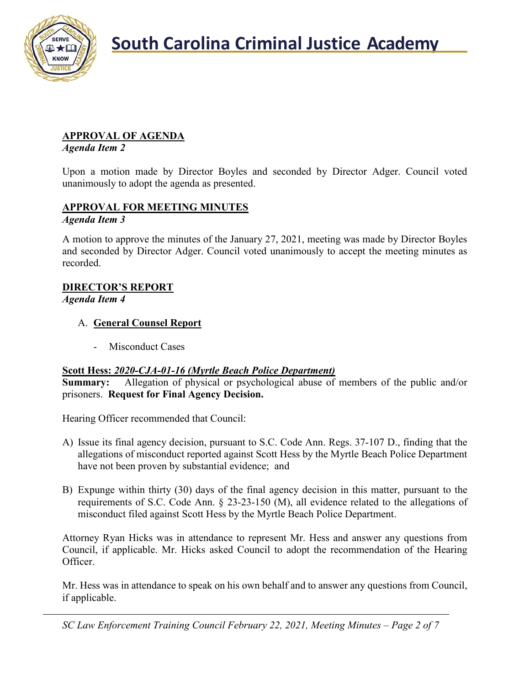

## **APPROVAL OF AGENDA**

*Agenda Item 2*

Upon a motion made by Director Boyles and seconded by Director Adger. Council voted unanimously to adopt the agenda as presented.

### **APPROVAL FOR MEETING MINUTES** *Agenda Item 3*

A motion to approve the minutes of the January 27, 2021, meeting was made by Director Boyles and seconded by Director Adger. Council voted unanimously to accept the meeting minutes as recorded.

### **DIRECTOR'S REPORT**

*Agenda Item 4*

## A. **General Counsel Report**

Misconduct Cases

### **Scott Hess:** *2020-CJA-01-16 (Myrtle Beach Police Department)*

**Summary:** Allegation of physical or psychological abuse of members of the public and/or prisoners. **Request for Final Agency Decision.**

Hearing Officer recommended that Council:

- A) Issue its final agency decision, pursuant to S.C. Code Ann. Regs. 37-107 D., finding that the allegations of misconduct reported against Scott Hess by the Myrtle Beach Police Department have not been proven by substantial evidence; and
- B) Expunge within thirty (30) days of the final agency decision in this matter, pursuant to the requirements of S.C. Code Ann. § 23-23-150 (M), all evidence related to the allegations of misconduct filed against Scott Hess by the Myrtle Beach Police Department.

Attorney Ryan Hicks was in attendance to represent Mr. Hess and answer any questions from Council, if applicable. Mr. Hicks asked Council to adopt the recommendation of the Hearing Officer.

Mr. Hess was in attendance to speak on his own behalf and to answer any questions from Council, if applicable.

*SC Law Enforcement Training Council February 22, 2021, Meeting Minutes – Page 2 of 7*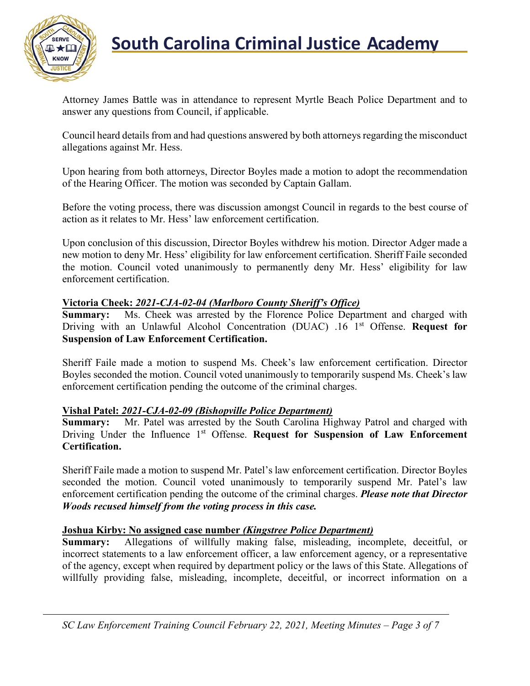

Attorney James Battle was in attendance to represent Myrtle Beach Police Department and to answer any questions from Council, if applicable.

Council heard details from and had questions answered by both attorneys regarding the misconduct allegations against Mr. Hess.

Upon hearing from both attorneys, Director Boyles made a motion to adopt the recommendation of the Hearing Officer. The motion was seconded by Captain Gallam.

Before the voting process, there was discussion amongst Council in regards to the best course of action as it relates to Mr. Hess' law enforcement certification.

Upon conclusion of this discussion, Director Boyles withdrew his motion. Director Adger made a new motion to deny Mr. Hess' eligibility for law enforcement certification. Sheriff Faile seconded the motion. Council voted unanimously to permanently deny Mr. Hess' eligibility for law enforcement certification.

### **Victoria Cheek:** *2021-CJA-02-04 (Marlboro County Sheriff's Office)*

**Summary:** Ms. Cheek was arrested by the Florence Police Department and charged with Driving with an Unlawful Alcohol Concentration (DUAC) .16 1st Offense. **Request for Suspension of Law Enforcement Certification.**

Sheriff Faile made a motion to suspend Ms. Cheek's law enforcement certification. Director Boyles seconded the motion. Council voted unanimously to temporarily suspend Ms. Cheek's law enforcement certification pending the outcome of the criminal charges.

### **Vishal Patel:** *2021-CJA-02-09 (Bishopville Police Department)*

**Summary:** Mr. Patel was arrested by the South Carolina Highway Patrol and charged with Driving Under the Influence 1<sup>st</sup> Offense. **Request for Suspension of Law Enforcement Certification.**

Sheriff Faile made a motion to suspend Mr. Patel's law enforcement certification. Director Boyles seconded the motion. Council voted unanimously to temporarily suspend Mr. Patel's law enforcement certification pending the outcome of the criminal charges. *Please note that Director Woods recused himself from the voting process in this case.*

### **Joshua Kirby: No assigned case number** *(Kingstree Police Department)*

**Summary:** Allegations of willfully making false, misleading, incomplete, deceitful, or incorrect statements to a law enforcement officer, a law enforcement agency, or a representative of the agency, except when required by department policy or the laws of this State. Allegations of willfully providing false, misleading, incomplete, deceitful, or incorrect information on a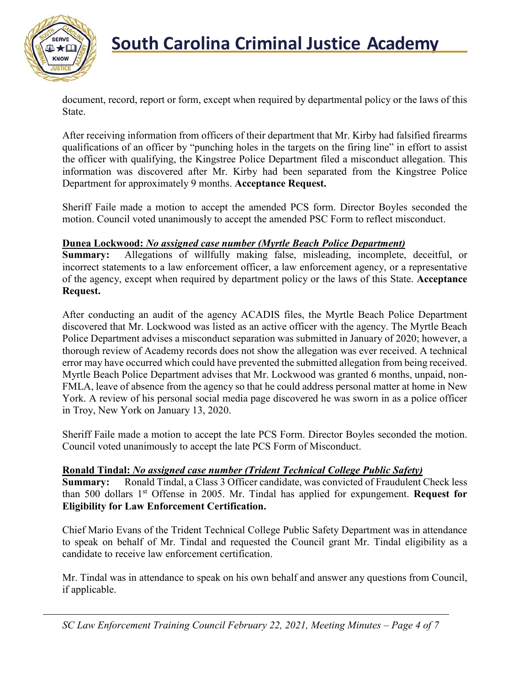

document, record, report or form, except when required by departmental policy or the laws of this State.

After receiving information from officers of their department that Mr. Kirby had falsified firearms qualifications of an officer by "punching holes in the targets on the firing line" in effort to assist the officer with qualifying, the Kingstree Police Department filed a misconduct allegation. This information was discovered after Mr. Kirby had been separated from the Kingstree Police Department for approximately 9 months. **Acceptance Request.**

Sheriff Faile made a motion to accept the amended PCS form. Director Boyles seconded the motion. Council voted unanimously to accept the amended PSC Form to reflect misconduct.

#### **Dunea Lockwood:** *No assigned case number (Myrtle Beach Police Department)*

**Summary:** Allegations of willfully making false, misleading, incomplete, deceitful, or incorrect statements to a law enforcement officer, a law enforcement agency, or a representative of the agency, except when required by department policy or the laws of this State. **Acceptance Request.**

After conducting an audit of the agency ACADIS files, the Myrtle Beach Police Department discovered that Mr. Lockwood was listed as an active officer with the agency. The Myrtle Beach Police Department advises a misconduct separation was submitted in January of 2020; however, a thorough review of Academy records does not show the allegation was ever received. A technical error may have occurred which could have prevented the submitted allegation from being received. Myrtle Beach Police Department advises that Mr. Lockwood was granted 6 months, unpaid, non-FMLA, leave of absence from the agency so that he could address personal matter at home in New York. A review of his personal social media page discovered he was sworn in as a police officer in Troy, New York on January 13, 2020.

Sheriff Faile made a motion to accept the late PCS Form. Director Boyles seconded the motion. Council voted unanimously to accept the late PCS Form of Misconduct.

### **Ronald Tindal:** *No assigned case number (Trident Technical College Public Safety)*

**Summary:** Ronald Tindal, a Class 3 Officer candidate, was convicted of Fraudulent Check less than 500 dollars 1<sup>st</sup> Offense in 2005. Mr. Tindal has applied for expungement. Request for **Eligibility for Law Enforcement Certification.**

Chief Mario Evans of the Trident Technical College Public Safety Department was in attendance to speak on behalf of Mr. Tindal and requested the Council grant Mr. Tindal eligibility as a candidate to receive law enforcement certification.

Mr. Tindal was in attendance to speak on his own behalf and answer any questions from Council, if applicable.

*SC Law Enforcement Training Council February 22, 2021, Meeting Minutes – Page 4 of 7*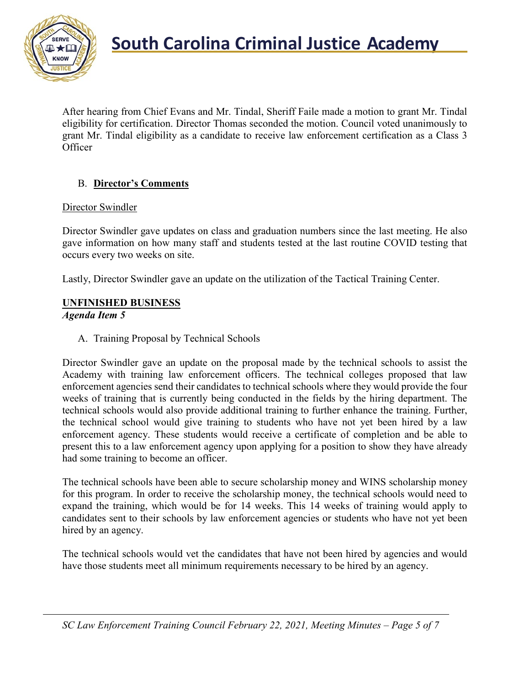

After hearing from Chief Evans and Mr. Tindal, Sheriff Faile made a motion to grant Mr. Tindal eligibility for certification. Director Thomas seconded the motion. Council voted unanimously to grant Mr. Tindal eligibility as a candidate to receive law enforcement certification as a Class 3 **Officer** 

## B. **Director's Comments**

### Director Swindler

Director Swindler gave updates on class and graduation numbers since the last meeting. He also gave information on how many staff and students tested at the last routine COVID testing that occurs every two weeks on site.

Lastly, Director Swindler gave an update on the utilization of the Tactical Training Center.

## **UNFINISHED BUSINESS**

### *Agenda Item 5*

A. Training Proposal by Technical Schools

Director Swindler gave an update on the proposal made by the technical schools to assist the Academy with training law enforcement officers. The technical colleges proposed that law enforcement agencies send their candidates to technical schools where they would provide the four weeks of training that is currently being conducted in the fields by the hiring department. The technical schools would also provide additional training to further enhance the training. Further, the technical school would give training to students who have not yet been hired by a law enforcement agency. These students would receive a certificate of completion and be able to present this to a law enforcement agency upon applying for a position to show they have already had some training to become an officer.

The technical schools have been able to secure scholarship money and WINS scholarship money for this program. In order to receive the scholarship money, the technical schools would need to expand the training, which would be for 14 weeks. This 14 weeks of training would apply to candidates sent to their schools by law enforcement agencies or students who have not yet been hired by an agency.

The technical schools would vet the candidates that have not been hired by agencies and would have those students meet all minimum requirements necessary to be hired by an agency.

*SC Law Enforcement Training Council February 22, 2021, Meeting Minutes – Page 5 of 7*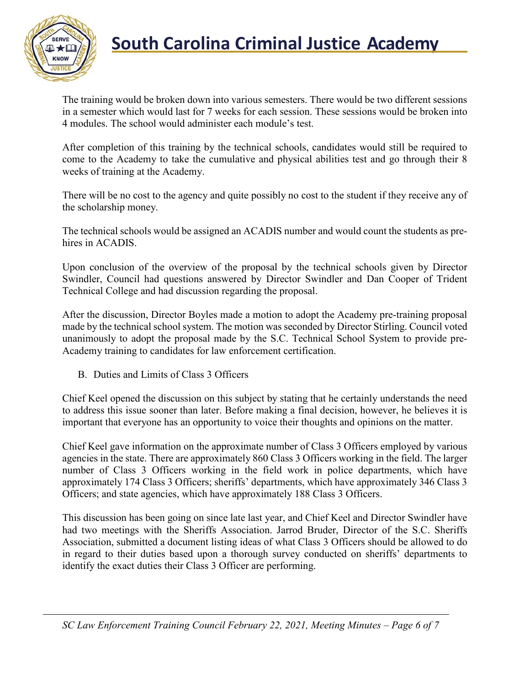

The training would be broken down into various semesters. There would be two different sessions in a semester which would last for 7 weeks for each session. These sessions would be broken into 4 modules. The school would administer each module's test.

After completion of this training by the technical schools, candidates would still be required to come to the Academy to take the cumulative and physical abilities test and go through their 8 weeks of training at the Academy.

There will be no cost to the agency and quite possibly no cost to the student if they receive any of the scholarship money.

The technical schools would be assigned an ACADIS number and would count the students as prehires in ACADIS.

Upon conclusion of the overview of the proposal by the technical schools given by Director Swindler, Council had questions answered by Director Swindler and Dan Cooper of Trident Technical College and had discussion regarding the proposal.

After the discussion, Director Boyles made a motion to adopt the Academy pre-training proposal made by the technical school system. The motion was seconded by Director Stirling. Council voted unanimously to adopt the proposal made by the S.C. Technical School System to provide pre-Academy training to candidates for law enforcement certification.

B. Duties and Limits of Class 3 Officers

Chief Keel opened the discussion on this subject by stating that he certainly understands the need to address this issue sooner than later. Before making a final decision, however, he believes it is important that everyone has an opportunity to voice their thoughts and opinions on the matter.

Chief Keel gave information on the approximate number of Class 3 Officers employed by various agencies in the state. There are approximately 860 Class 3 Officers working in the field. The larger number of Class 3 Officers working in the field work in police departments, which have approximately 174 Class 3 Officers; sheriffs' departments, which have approximately 346 Class 3 Officers; and state agencies, which have approximately 188 Class 3 Officers.

This discussion has been going on since late last year, and Chief Keel and Director Swindler have had two meetings with the Sheriffs Association. Jarrod Bruder, Director of the S.C. Sheriffs Association, submitted a document listing ideas of what Class 3 Officers should be allowed to do in regard to their duties based upon a thorough survey conducted on sheriffs' departments to identify the exact duties their Class 3 Officer are performing.